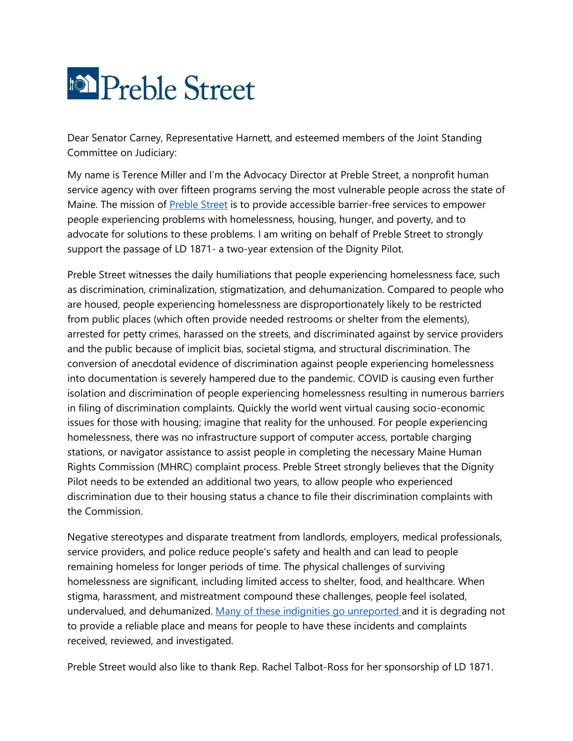

Dear Senator Carney, Representative Harnett, and esteemed members of the Joint Standing Committee on Judiciary:

My name is Terence Miller and I'm the Advocacy Director at Preble Street, a nonprofit human service agency with over fifteen programs serving the most vulnerable people across the state of Maine. The mission of **Preble Street** is to provide accessible barrier-free services to empower people experiencing problems with homelessness, housing, hunger, and poverty, and to advocate for solutions to these problems. I am writing on behalf of Preble Street to strongly support the passage of LD 1871- a two-year extension of the Dignity Pilot.

Preble Street witnesses the daily humiliations that people experiencing homelessness face, such as discrimination, criminalization, stigmatization, and dehumanization. Compared to people who are housed, people experiencing homelessness are disproportionately likely to be restricted from public places (which often provide needed restrooms or shelter from the elements), arrested for petty crimes, harassed on the streets, and discriminated against by service providers and the public because of implicit bias, societal stigma, and structural discrimination. The conversion of anecdotal evidence of discrimination against people experiencing homelessness into documentation is severely hampered due to the pandemic. COVID is causing even further isolation and discrimination of people experiencing homelessness resulting in numerous barriers in filing of discrimination complaints. Quickly the world went virtual causing socio-economic issues for those with housing; imagine that reality for the unhoused. For people experiencing homelessness, there was no infrastructure support of computer access, portable charging stations, or navigator assistance to assist people in completing the necessary Maine Human Rights Commission (MHRC) complaint process. Preble Street strongly believes that the Dignity Pilot needs to be extended an additional two years, to allow people who experienced discrimination due to their housing status a chance to file their discrimination complaints with the Commission.

Negative stereotypes and disparate treatment from landlords, employers, medical professionals, service providers, and police reduce people's safety and health and can lead to people remaining homeless for longer periods of time. The physical challenges of surviving homelessness are significant, including limited access to shelter, food, and healthcare. When stigma, harassment, and mistreatment compound these challenges, people feel isolated, undervalued, and dehumanized. [Many of these indignities go unreported a](https://www.ohchr.org/en/issues/housing/pages/homelessnessandhumanrights.aspx)nd it is degrading not to provide a reliable place and means for people to have these incidents and complaints received, reviewed, and investigated.

Preble Street would also like to thank Rep. Rachel Talbot-Ross for her sponsorship of LD 1871.